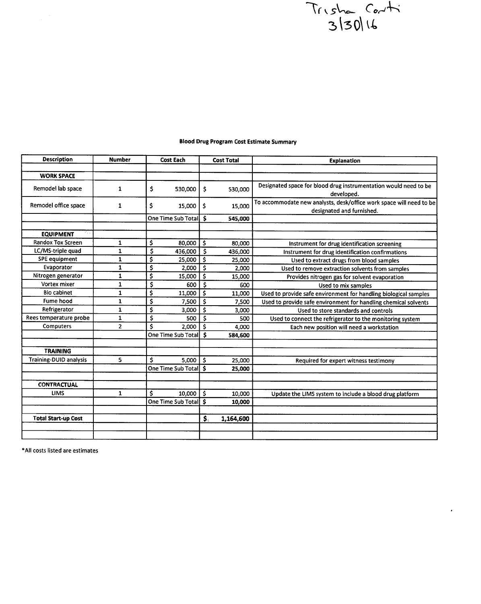

 $\hat{\boldsymbol{\epsilon}}$ 

| <b>Description</b>         | <b>Number</b>  |    | <b>Cost Each</b>      | <b>Cost Total</b>                   |           | <b>Explanation</b>                                                                               |
|----------------------------|----------------|----|-----------------------|-------------------------------------|-----------|--------------------------------------------------------------------------------------------------|
|                            |                |    |                       |                                     |           |                                                                                                  |
| <b>WORK SPACE</b>          |                |    |                       |                                     |           |                                                                                                  |
| Remodel lab space          | $\mathbf{1}$   | \$ | 530,000               | \$                                  | 530,000   | Designated space for blood drug instrumentation would need to be<br>developed.                   |
| Remodel office space       | $\mathbf{1}$   | \$ | 15,000                | \$                                  | 15,000    | To accommodate new analysts, desk/office work space will need to be<br>designated and furnished. |
|                            |                |    | One Time Sub Total    | Ŝ                                   | 545,000   |                                                                                                  |
|                            |                |    |                       |                                     |           |                                                                                                  |
| <b>EQUIPMENT</b>           |                |    |                       |                                     |           |                                                                                                  |
| <b>Randox Tox Screen</b>   | 1              | \$ | 80,000                | \$                                  | 80,000    | Instrument for drug identification screening                                                     |
| LC/MS-triple quad          | 1              | \$ | 436,000               | \$                                  | 436,000   | Instrument for drug identification confirmations                                                 |
| <b>SPE</b> equipment       | 1              | \$ | 25,000                | $\overline{\boldsymbol{s}}$         | 25,000    | Used to extract drugs from blood samples                                                         |
| Evaporator                 | 1              | \$ | 2,000                 | $\overline{\boldsymbol{\varsigma}}$ | 2,000     | Used to remove extraction solvents from samples                                                  |
| Nitrogen generator         | $\mathbf{1}$   | \$ | 15,000                | \$                                  | 15,000    | Provides nitrogen gas for solvent evaporation                                                    |
| Vortex mixer               | 1              | \$ | 600                   | \$                                  | 600       | Used to mix samples                                                                              |
| <b>Bio cabinet</b>         | 1              | \$ | 11,000                | $\overline{\boldsymbol{\varsigma}}$ | 11,000    | Used to provide safe environment for handling biological samples                                 |
| <b>Fume hood</b>           | $\mathbf{1}$   | \$ | 7.500                 | $\overline{\mathsf{s}}$             | 7,500     | Used to provide safe environment for handling chemical solvents                                  |
| Refrigerator               | 1              | \$ | 3,000                 | \$                                  | 3,000     | Used to store standards and controls                                                             |
| Rees temperature probe     | $\mathbf{1}$   | \$ | 500                   | \$                                  | 500       | Used to connect the refrigerator to the monitoring system                                        |
| Computers                  | $\overline{2}$ | Ś  | 2.000                 | \$                                  | 4,000     | Each new position will need a workstation                                                        |
|                            |                |    | One Time Sub Total    |                                     | 584,600   |                                                                                                  |
|                            |                |    |                       |                                     |           |                                                                                                  |
| <b>TRAINING</b>            |                |    |                       |                                     |           |                                                                                                  |
| Training-DUID analysis     | 5              | \$ | 5.000                 | Ŝ.                                  | 25,000    | Required for expert witness testimony                                                            |
|                            |                |    | One Time Sub Total S  |                                     | 25,000    |                                                                                                  |
|                            |                |    |                       |                                     |           |                                                                                                  |
| <b>CONTRACTUAL</b>         |                |    |                       |                                     |           |                                                                                                  |
| <b>LIMS</b>                | $\mathbf{1}$   | \$ | 10,000                | \$                                  | 10,000    | Update the LIMS system to include a blood drug platform                                          |
|                            |                |    | One Time Sub Total \$ |                                     | 10,000    |                                                                                                  |
|                            |                |    |                       |                                     |           |                                                                                                  |
| <b>Total Start-up Cost</b> |                |    |                       | $\mathbf{S}_1$                      | 1,164,600 |                                                                                                  |
|                            |                |    |                       |                                     |           |                                                                                                  |
|                            |                |    |                       |                                     |           |                                                                                                  |

## **Blood Drug Program Cost Estimate Summary**

\*All costs listed are estimates